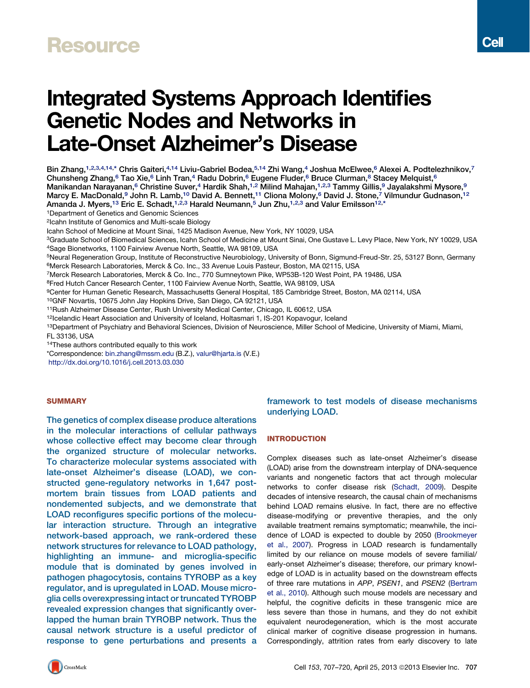## **Resource**

# Integrated Systems Approach Identifies Genetic Nodes and Networks in Late-Onset Alzheimer's Disease

Bin Zhang, 1,2,3,4,14,\* Chris Gaiteri, 4,14 Liviu-Gabriel Bodea, 5,14 Zhi Wang, 4 Joshua McElwee, 6 Alexei A. Podtelezhnikov, 7  ${\sf Chunsheng}$  Zhang, $^6$  Tao Xie, $^6$  Linh Tran, $^4$  Radu Dobrin, $^6$  Eugene Fluder, $^6$  Bruce Clurman, $^8$  Stacey Melquist, $^6$ Manikandan Narayanan,<sup>6</sup> Christine Suver,<sup>4</sup> Hardik Shah,<sup>1,2</sup> Milind Mahajan,<sup>1,2,3</sup> Tammy Gillis,<sup>9</sup> Jayalakshmi Mysore,<sup>9</sup> Marcy E. MacDonald,<sup>9</sup> John R. Lamb,<sup>10</sup> David A. Bennett,<sup>11</sup> Cliona Molony,<sup>6</sup> David J. Stone,<sup>7</sup> Vilmundur Gudnason,<sup>12</sup> Amanda J. Myers,<sup>13</sup> Eric E. Schadt,<sup>1,2,3</sup> Harald Neumann,<sup>5</sup> Jun Zhu,<sup>1,2,3</sup> and Valur Emilsson<sup>12,\*</sup>

<sup>1</sup>Department of Genetics and Genomic Sciences

2 Icahn Institute of Genomics and Multi-scale Biology

Icahn School of Medicine at Mount Sinai, 1425 Madison Avenue, New York, NY 10029, USA

<sup>3</sup>Graduate School of Biomedical Sciences, Icahn School of Medicine at Mount Sinai, One Gustave L. Levy Place, New York, NY 10029, USA <sup>4</sup>Sage Bionetworks, 1100 Fairview Avenue North, Seattle, WA 98109, USA

<sup>5</sup>Neural Regeneration Group, Institute of Reconstructive Neurobiology, University of Bonn, Sigmund-Freud-Str. 25, 53127 Bonn, Germany <sup>6</sup>Merck Research Laboratories, Merck & Co. Inc., 33 Avenue Louis Pasteur, Boston, MA 02115, USA

<sup>7</sup>Merck Research Laboratories, Merck & Co. Inc., 770 Sumneytown Pike, WP53B-120 West Point, PA 19486, USA

<sup>8</sup>Fred Hutch Cancer Research Center, 1100 Fairview Avenue North, Seattle, WA 98109, USA

- <sup>9</sup>Center for Human Genetic Research, Massachusetts General Hospital, 185 Cambridge Street, Boston, MA 02114, USA
- <sup>10</sup>GNF Novartis, 10675 John Jay Hopkins Drive, San Diego, CA 92121, USA

<sup>11</sup>Rush Alzheimer Disease Center, Rush University Medical Center, Chicago, IL 60612, USA

<sup>12</sup>Icelandic Heart Association and University of Iceland, Holtasmari 1, IS-201 Kopavogur, Iceland

<sup>13</sup>Department of Psychiatry and Behavioral Sciences, Division of Neuroscience, Miller School of Medicine, University of Miami, Miami, FL 33136, USA

<sup>14</sup>These authors contributed equally to this work

\*Correspondence: bin.zhang@mssm.edu (B.Z.), valur@hjarta.is (V.E.)

http://dx.doi.org/10.1016/j.cell.2013.03.030

## **SUMMARY**

The genetics of complex disease produce alterations in the molecular interactions of cellular pathways whose collective effect may become clear through the organized structure of molecular networks. To characterize molecular systems associated with late-onset Alzheimer's disease (LOAD), we constructed gene-regulatory networks in 1,647 postmortem brain tissues from LOAD patients and nondemented subjects, and we demonstrate that LOAD reconfigures specific portions of the molecular interaction structure. Through an integrative network-based approach, we rank-ordered these network structures for relevance to LOAD pathology, highlighting an immune- and microglia-specific module that is dominated by genes involved in pathogen phagocytosis, contains TYROBP as a key regulator, and is upregulated in LOAD. Mouse microglia cells overexpressing intact or truncated TYROBP revealed expression changes that significantly overlapped the human brain TYROBP network. Thus the causal network structure is a useful predictor of response to gene perturbations and presents a

## framework to test models of disease mechanisms underlying LOAD.

#### INTRODUCTION

Complex diseases such as late-onset Alzheimer's disease (LOAD) arise from the downstream interplay of DNA-sequence variants and nongenetic factors that act through molecular networks to confer disease risk (Schadt, 2009). Despite decades of intensive research, the causal chain of mechanisms behind LOAD remains elusive. In fact, there are no effective disease-modifying or preventive therapies, and the only available treatment remains symptomatic; meanwhile, the incidence of LOAD is expected to double by 2050 (Brookmeyer et al., 2007). Progress in LOAD research is fundamentally limited by our reliance on mouse models of severe familial/ early-onset Alzheimer's disease; therefore, our primary knowledge of LOAD is in actuality based on the downstream effects of three rare mutations in *APP*, *PSEN1*, and *PSEN2* (Bertram et al., 2010). Although such mouse models are necessary and helpful, the cognitive deficits in these transgenic mice are less severe than those in humans, and they do not exhibit equivalent neurodegeneration, which is the most accurate clinical marker of cognitive disease progression in humans. Correspondingly, attrition rates from early discovery to late

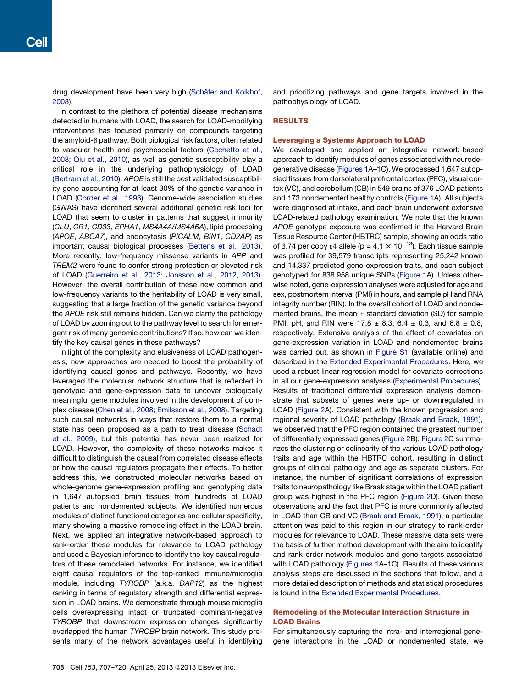drug development have been very high (Schäfer and Kolkhof, 2008).

In contrast to the plethora of potential disease mechanisms detected in humans with LOAD, the search for LOAD-modifying interventions has focused primarily on compounds targeting the amyloid- $\beta$  pathway. Both biological risk factors, often related to vascular health and psychosocial factors (Cechetto et al., 2008; Qiu et al., 2010), as well as genetic susceptibility play a critical role in the underlying pathophysiology of LOAD (Bertram et al., 2010). *APOE* is still the best validated susceptibility gene accounting for at least 30% of the genetic variance in LOAD (Corder et al., 1993). Genome-wide association studies (GWAS) have identified several additional genetic risk loci for LOAD that seem to cluster in patterns that suggest immunity (*CLU*, *CR1*, *CD33*, *EPHA1*, *MS4A4A*/*MS4A6A*), lipid processing (*APOE*, *ABCA7*), and endocytosis (*PICALM*, *BIN1*, *CD2AP*) as important causal biological processes (Bettens et al., 2013). More recently, low-frequency missense variants in *APP* and *TREM2* were found to confer strong protection or elevated risk of LOAD (Guerreiro et al., 2013; Jonsson et al., 2012, 2013). However, the overall contribution of these new common and low-frequency variants to the heritability of LOAD is very small, suggesting that a large fraction of the genetic variance beyond the *APOE* risk still remains hidden. Can we clarify the pathology of LOAD by zooming out to the pathway level to search for emergent risk of many genomic contributions? If so, how can we identify the key causal genes in these pathways?

In light of the complexity and elusiveness of LOAD pathogenesis, new approaches are needed to boost the probability of identifying causal genes and pathways. Recently, we have leveraged the molecular network structure that is reflected in genotypic and gene-expression data to uncover biologically meaningful gene modules involved in the development of complex disease (Chen et al., 2008; Emilsson et al., 2008). Targeting such causal networks in ways that restore them to a normal state has been proposed as a path to treat disease (Schadt et al., 2009), but this potential has never been realized for LOAD. However, the complexity of these networks makes it difficult to distinguish the causal from correlated disease effects or how the causal regulators propagate their effects. To better address this, we constructed molecular networks based on whole-genome gene-expression profiling and genotyping data in 1,647 autopsied brain tissues from hundreds of LOAD patients and nondemented subjects. We identified numerous modules of distinct functional categories and cellular specificity, many showing a massive remodeling effect in the LOAD brain. Next, we applied an integrative network-based approach to rank-order these modules for relevance to LOAD pathology and used a Bayesian inference to identify the key causal regulators of these remodeled networks. For instance, we identified eight causal regulators of the top-ranked immune/microglia module, including *TYROBP* (a.k.a. *DAP12*) as the highest ranking in terms of regulatory strength and differential expression in LOAD brains. We demonstrate through mouse microglia cells overexpressing intact or truncated dominant-negative *TYROBP* that downstream expression changes significantly overlapped the human *TYROBP* brain network. This study presents many of the network advantages useful in identifying

and prioritizing pathways and gene targets involved in the pathophysiology of LOAD.

#### RESULTS

#### Leveraging a Systems Approach to LOAD

We developed and applied an integrative network-based approach to identify modules of genes associated with neurodegenerative disease (Figures 1A–1C). We processed 1,647 autopsied tissues from dorsolateral prefrontal cortex (PFC), visual cortex (VC), and cerebellum (CB) in 549 brains of 376 LOAD patients and 173 nondemented healthy controls (Figure 1A). All subjects were diagnosed at intake, and each brain underwent extensive LOAD-related pathology examination. We note that the known *APOE* genotype exposure was confirmed in the Harvard Brain Tissue Resource Center (HBTRC) sample, showing an odds ratio of 3.74 per copy  $\varepsilon$ 4 allele (p = 4.1  $\times$  10<sup>-13</sup>). Each tissue sample was profiled for 39,579 transcripts representing 25,242 known and 14,337 predicted gene-expression traits, and each subject genotyped for 838,958 unique SNPs (Figure 1A). Unless otherwise noted, gene-expression analyses were adjusted for age and sex, postmortem interval (PMI) in hours, and sample pH and RNA integrity number (RIN). In the overall cohort of LOAD and nondemented brains, the mean  $\pm$  standard deviation (SD) for sample PMI, pH, and RIN were  $17.8 \pm 8.3$ , 6.4  $\pm$  0.3, and 6.8  $\pm$  0.8, respectively. Extensive analysis of the effect of covariates on gene-expression variation in LOAD and nondemented brains was carried out, as shown in Figure S1 (available online) and described in the Extended Experimental Procedures. Here, we used a robust linear regression model for covariate corrections in all our gene-expression analyses (Experimental Procedures). Results of traditional differential expression analysis demonstrate that subsets of genes were up- or downregulated in LOAD (Figure 2A). Consistent with the known progression and regional severity of LOAD pathology (Braak and Braak, 1991), we observed that the PFC region contained the greatest number of differentially expressed genes (Figure 2B). Figure 2C summarizes the clustering or colinearity of the various LOAD pathology traits and age within the HBTRC cohort, resulting in distinct groups of clinical pathology and age as separate clusters. For instance, the number of significant correlations of expression traits to neuropathology like Braak stage within the LOAD patient group was highest in the PFC region (Figure 2D). Given these observations and the fact that PFC is more commonly affected in LOAD than CB and VC (Braak and Braak, 1991), a particular attention was paid to this region in our strategy to rank-order modules for relevance to LOAD. These massive data sets were the basis of further method development with the aim to identify and rank-order network modules and gene targets associated with LOAD pathology (Figures 1A–1C). Results of these various analysis steps are discussed in the sections that follow, and a more detailed description of methods and statistical procedures is found in the Extended Experimental Procedures.

## Remodeling of the Molecular Interaction Structure in LOAD Brains

For simultaneously capturing the intra- and interregional genegene interactions in the LOAD or nondemented state, we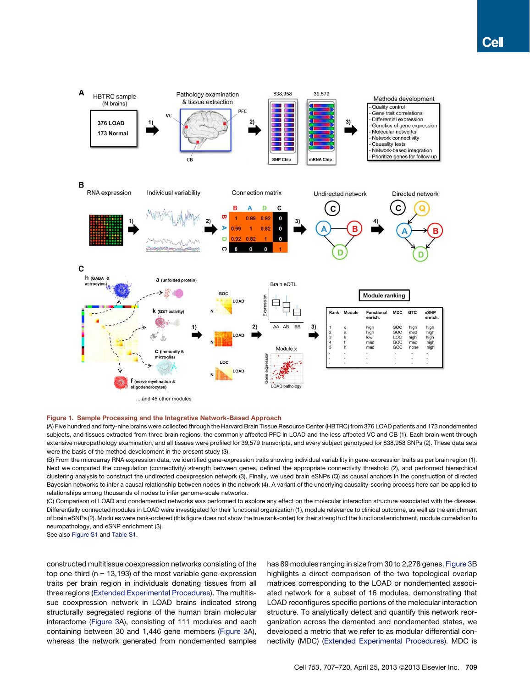

#### Figure 1. Sample Processing and the Integrative Network-Based Approach

(A) Five hundred and forty-nine brains were collected through the Harvard Brain Tissue Resource Center (HBTRC) from 376 LOAD patients and 173 nondemented subjects, and tissues extracted from three brain regions, the commonly affected PFC in LOAD and the less affected VC and CB (1). Each brain went through extensive neuropathology examination, and all tissues were profiled for 39,579 transcripts, and every subject genotyped for 838,958 SNPs (2). These data sets were the basis of the method development in the present study (3).

(B) From the microarray RNA expression data, we identified gene-expression traits showing individual variability in gene-expression traits as per brain region (1). Next we computed the coregulation (connectivity) strength between genes, defined the appropriate connectivity threshold (2), and performed hierarchical clustering analysis to construct the undirected coexpression network (3). Finally, we used brain eSNPs (Q) as causal anchors in the construction of directed Bayesian networks to infer a causal relationship between nodes in the network (4). A variant of the underlying causality-scoring process here can be applied to relationships among thousands of nodes to infer genome-scale networks.

(C) Comparison of LOAD and nondemented networks was performed to explore any effect on the molecular interaction structure associated with the disease. Differentially connected modules in LOAD were investigated for their functional organization (1), module relevance to clinical outcome, as well as the enrichment of brain eSNPs (2). Modules were rank-ordered (this figure does not show the true rank-order) for their strength of the functional enrichment, module correlation to neuropathology, and eSNP enrichment (3).

See also Figure S1 and Table S1.

constructed multitissue coexpression networks consisting of the top one-third ( $n = 13,193$ ) of the most variable gene-expression traits per brain region in individuals donating tissues from all three regions (Extended Experimental Procedures). The multitissue coexpression network in LOAD brains indicated strong structurally segregated regions of the human brain molecular interactome (Figure 3A), consisting of 111 modules and each containing between 30 and 1,446 gene members (Figure 3A), whereas the network generated from nondemented samples

has 89 modules ranging in size from 30 to 2,278 genes. Figure 3B highlights a direct comparison of the two topological overlap matrices corresponding to the LOAD or nondemented associated network for a subset of 16 modules, demonstrating that LOAD reconfigures specific portions of the molecular interaction structure. To analytically detect and quantify this network reorganization across the demented and nondemented states, we developed a metric that we refer to as modular differential connectivity (MDC) (Extended Experimental Procedures). MDC is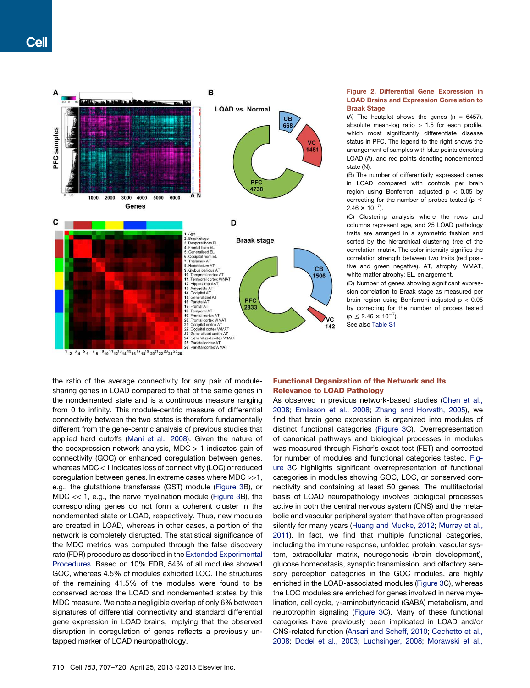

#### Figure 2. Differential Gene Expression in LOAD Brains and Expression Correlation to Braak Stage

(A) The heatplot shows the genes ( $n = 6457$ ), absolute mean-log ratio  $> 1.5$  for each profile, which most significantly differentiate disease status in PFC. The legend to the right shows the arrangement of samples with blue points denoting LOAD (A), and red points denoting nondemented state (N).

(B) The number of differentially expressed genes in LOAD compared with controls per brain region using Bonferroni adjusted  $p < 0.05$  by correcting for the number of probes tested ( $p <$  $2.46 \times 10^{-7}$ ).

(C) Clustering analysis where the rows and columns represent age, and 25 LOAD pathology traits are arranged in a symmetric fashion and sorted by the hierarchical clustering tree of the correlation matrix. The color intensity signifies the correlation strength between two traits (red positive and green negative). AT, atrophy; WMAT, white matter atrophy; EL, enlargement.

(D) Number of genes showing significant expression correlation to Braak stage as measured per brain region using Bonferroni adjusted p < 0.05 by correcting for the number of probes tested  $(p \leq 2.46 \times 10^{-7}).$ See also Table S1.

the ratio of the average connectivity for any pair of modulesharing genes in LOAD compared to that of the same genes in the nondemented state and is a continuous measure ranging from 0 to infinity. This module-centric measure of differential connectivity between the two states is therefore fundamentally different from the gene-centric analysis of previous studies that applied hard cutoffs (Mani et al., 2008). Given the nature of the coexpression network analysis, MDC > 1 indicates gain of connectivity (GOC) or enhanced coregulation between genes, whereas MDC < 1 indicates loss of connectivity (LOC) or reduced coregulation between genes. In extreme cases where MDC >>1, e.g., the glutathione transferase (GST) module (Figure 3B), or MDC << 1, e.g., the nerve myelination module (Figure 3B), the corresponding genes do not form a coherent cluster in the nondemented state or LOAD, respectively. Thus, new modules are created in LOAD, whereas in other cases, a portion of the network is completely disrupted. The statistical significance of the MDC metrics was computed through the false discovery rate (FDR) procedure as described in the Extended Experimental Procedures. Based on 10% FDR, 54% of all modules showed GOC, whereas 4.5% of modules exhibited LOC. The structures of the remaining 41.5% of the modules were found to be conserved across the LOAD and nondemented states by this MDC measure. We note a negligible overlap of only 6% between signatures of differential connectivity and standard differential gene expression in LOAD brains, implying that the observed disruption in coregulation of genes reflects a previously untapped marker of LOAD neuropathology.

## Functional Organization of the Network and Its Relevance to LOAD Pathology

As observed in previous network-based studies (Chen et al., 2008; Emilsson et al., 2008; Zhang and Horvath, 2005), we find that brain gene expression is organized into modules of distinct functional categories (Figure 3C). Overrepresentation of canonical pathways and biological processes in modules was measured through Fisher's exact test (FET) and corrected for number of modules and functional categories tested. Figure 3C highlights significant overrepresentation of functional categories in modules showing GOC, LOC, or conserved connectivity and containing at least 50 genes. The multifactorial basis of LOAD neuropathology involves biological processes active in both the central nervous system (CNS) and the metabolic and vascular peripheral system that have often progressed silently for many years (Huang and Mucke, 2012; Murray et al., 2011). In fact, we find that multiple functional categories, including the immune response, unfolded protein, vascular system, extracellular matrix, neurogenesis (brain development), glucose homeostasis, synaptic transmission, and olfactory sensory perception categories in the GOC modules, are highly enriched in the LOAD-associated modules (Figure 3C), whereas the LOC modules are enriched for genes involved in nerve myelination, cell cycle,  $\gamma$ -aminobutyricacid (GABA) metabolism, and neurotrophin signaling (Figure 3C). Many of these functional categories have previously been implicated in LOAD and/or CNS-related function (Ansari and Scheff, 2010; Cechetto et al., 2008; Dodel et al., 2003; Luchsinger, 2008; Morawski et al.,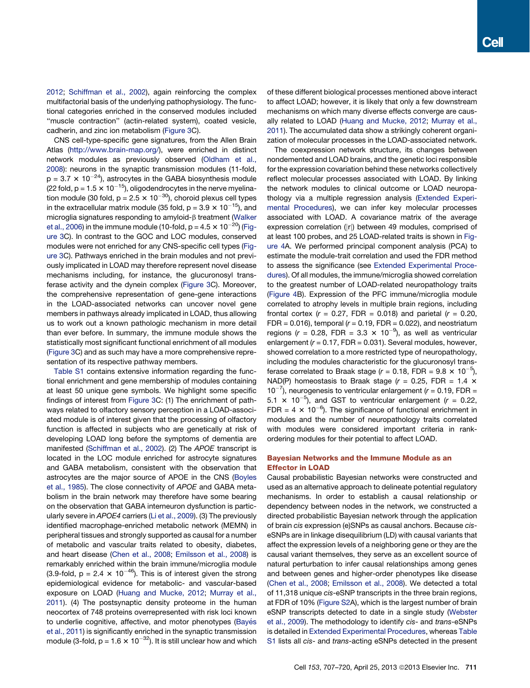2012; Schiffman et al., 2002), again reinforcing the complex multifactorial basis of the underlying pathophysiology. The functional categories enriched in the conserved modules included ''muscle contraction'' (actin-related system), coated vesicle, cadherin, and zinc ion metabolism (Figure 3C).

CNS cell-type-specific gene signatures, from the Allen Brain Atlas (http://www.brain-map.org/), were enriched in distinct network modules as previously observed (Oldham et al., 2008): neurons in the synaptic transmission modules (11-fold,  $p = 3.7 \times 10^{-24}$ ), astrocytes in the GABA biosynthesis module (22 fold,  $p = 1.5 \times 10^{-15}$ ), oligodendrocytes in the nerve myelination module (30 fold,  $p = 2.5 \times 10^{-30}$ ), choroid plexus cell types in the extracellular matrix module (35 fold,  $p = 3.9 \times 10^{-15}$ ), and microglia signatures responding to amyloid- $\beta$  treatment (Walker et al., 2006) in the immune module (10-fold,  $p = 4.5 \times 10^{-20}$ ) (Figure 3C). In contrast to the GOC and LOC modules, conserved modules were not enriched for any CNS-specific cell types (Figure 3C). Pathways enriched in the brain modules and not previously implicated in LOAD may therefore represent novel disease mechanisms including, for instance, the glucuronosyl transferase activity and the dynein complex (Figure 3C). Moreover, the comprehensive representation of gene-gene interactions in the LOAD-associated networks can uncover novel gene members in pathways already implicated in LOAD, thus allowing us to work out a known pathologic mechanism in more detail than ever before. In summary, the immune module shows the statistically most significant functional enrichment of all modules (Figure 3C) and as such may have a more comprehensive representation of its respective pathway members.

Table S1 contains extensive information regarding the functional enrichment and gene membership of modules containing at least 50 unique gene symbols. We highlight some specific findings of interest from Figure 3C: (1) The enrichment of pathways related to olfactory sensory perception in a LOAD-associated module is of interest given that the processing of olfactory function is affected in subjects who are genetically at risk of developing LOAD long before the symptoms of dementia are manifested (Schiffman et al., 2002). (2) The *APOE* transcript is located in the LOC module enriched for astrocyte signatures and GABA metabolism, consistent with the observation that astrocytes are the major source of APOE in the CNS (Boyles et al., 1985). The close connectivity of *APOE* and GABA metabolism in the brain network may therefore have some bearing on the observation that GABA interneuron dysfunction is particularly severe in *APOE4* carriers (Li et al., 2009). (3) The previously identified macrophage-enriched metabolic network (MEMN) in peripheral tissues and strongly supported as causal for a number of metabolic and vascular traits related to obesity, diabetes, and heart disease (Chen et al., 2008; Emilsson et al., 2008) is remarkably enriched within the brain immune/microglia module (3.9-fold,  $p = 2.4 \times 10^{-46}$ ). This is of interest given the strong epidemiological evidence for metabolic- and vascular-based exposure on LOAD (Huang and Mucke, 2012; Murray et al., 2011). (4) The postsynaptic density proteome in the human neocortex of 748 proteins overrepresented with risk loci known to underlie cognitive, affective, and motor phenotypes (Bayés et al., 2011) is significantly enriched in the synaptic transmission module (3-fold,  $p = 1.6 \times 10^{-32}$ ). It is still unclear how and which of these different biological processes mentioned above interact to affect LOAD; however, it is likely that only a few downstream mechanisms on which many diverse effects converge are causally related to LOAD (Huang and Mucke, 2012; Murray et al., 2011). The accumulated data show a strikingly coherent organization of molecular processes in the LOAD-associated network.

The coexpression network structure, its changes between nondemented and LOAD brains, and the genetic loci responsible for the expression covariation behind these networks collectively reflect molecular processes associated with LOAD. By linking the network modules to clinical outcome or LOAD neuropathology via a multiple regression analysis (Extended Experimental Procedures), we can infer key molecular processes associated with LOAD. A covariance matrix of the average expression correlation (|r|) between 49 modules, comprised of at least 100 probes, and 25 LOAD-related traits is shown in Figure 4A. We performed principal component analysis (PCA) to estimate the module-trait correlation and used the FDR method to assess the significance (see Extended Experimental Procedures). Of all modules, the immune/microglia showed correlation to the greatest number of LOAD-related neuropathology traits (Figure 4B). Expression of the PFC immune/microglia module correlated to atrophy levels in multiple brain regions, including frontal cortex  $(r = 0.27,$  FDR = 0.018) and parietal  $(r = 0.20,$  $FDR = 0.016$ ), temporal ( $r = 0.19$ ,  $FDR = 0.022$ ), and neostriatum regions ( $r = 0.28$ , FDR =  $3.3 \times 10^{-9}$ ), as well as ventricular enlargement (*r* = 0.17, FDR = 0.031). Several modules, however, showed correlation to a more restricted type of neuropathology, including the modules characteristic for the glucuronosyl transferase correlated to Braak stage ( $r = 0.18$ , FDR =  $9.8 \times 10^{-5}$ ), NAD(P) homeostasis to Braak stage  $(r = 0.25, FDR = 1.4 \times$  $10^{-7}$ ), neurogenesis to ventricular enlargement ( $r = 0.19$ , FDR = 5.1  $\times$  10<sup>-5</sup>), and GST to ventricular enlargement ( $r = 0.22$ , FDR =  $4 \times 10^{-6}$ ). The significance of functional enrichment in modules and the number of neuropathology traits correlated with modules were considered important criteria in rankordering modules for their potential to affect LOAD.

## Bayesian Networks and the Immune Module as an Effector in LOAD

Causal probabilistic Bayesian networks were constructed and used as an alternative approach to delineate potential regulatory mechanisms. In order to establish a causal relationship or dependency between nodes in the network, we constructed a directed probabilistic Bayesian network through the application of brain *cis* expression (e)SNPs as causal anchors. Because *cis*eSNPs are in linkage disequilibrium (LD) with causal variants that affect the expression levels of a neighboring gene or they are the causal variant themselves, they serve as an excellent source of natural perturbation to infer causal relationships among genes and between genes and higher-order phenotypes like disease (Chen et al., 2008; Emilsson et al., 2008). We detected a total of 11,318 unique *cis*-eSNP transcripts in the three brain regions, at FDR of 10% (Figure S2A), which is the largest number of brain eSNP transcripts detected to date in a single study (Webster et al., 2009). The methodology to identify *cis*- and *trans*-eSNPs is detailed in Extended Experimental Procedures, whereas Table S1 lists all *cis*- and *trans*-acting eSNPs detected in the present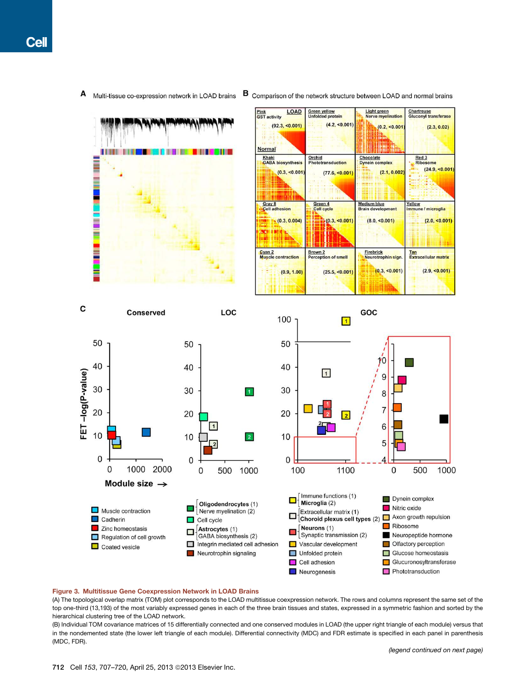А

- **TENTE**
- Multi-tissue co-expression network in LOAD brains  $\,$  B  $\,$  Comparison of the network structure between LOAD and normal brains





## Figure 3. Multitissue Gene Coexpression Network in LOAD Brains

(A) The topological overlap matrix (TOM) plot corresponds to the LOAD multitissue coexpression network. The rows and columns represent the same set of the top one-third (13,193) of the most variably expressed genes in each of the three brain tissues and states, expressed in a symmetric fashion and sorted by the hierarchical clustering tree of the LOAD network.

(B) Individual TOM covariance matrices of 15 differentially connected and one conserved modules in LOAD (the upper right triangle of each module) versus that in the nondemented state (the lower left triangle of each module). Differential connectivity (MDC) and FDR estimate is specified in each panel in parenthesis (MDC, FDR).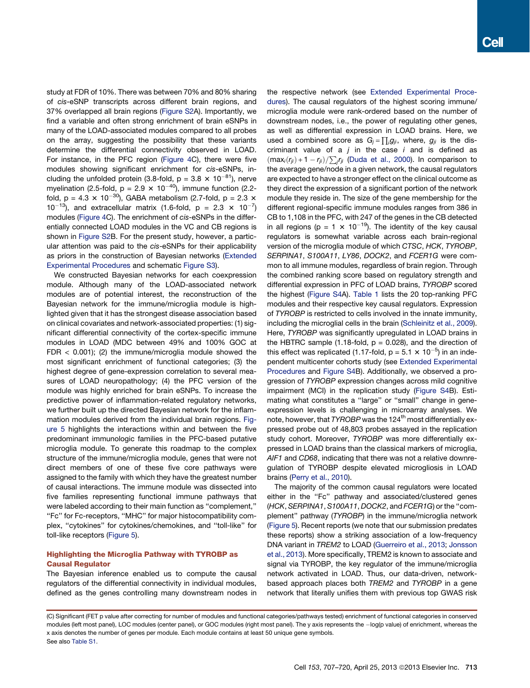study at FDR of 10%. There was between 70% and 80% sharing of *cis*-eSNP transcripts across different brain regions, and 37% overlapped all brain regions (Figure S2A). Importantly, we find a variable and often strong enrichment of brain eSNPs in many of the LOAD-associated modules compared to all probes on the array, suggesting the possibility that these variants determine the differential connectivity observed in LOAD. For instance, in the PFC region (Figure 4C), there were five modules showing significant enrichment for *cis*-eSNPs, including the unfolded protein (3.8-fold,  $p = 3.8 \times 10^{-81}$ ), nerve myelination (2.5-fold,  $p = 2.9 \times 10^{-40}$ ), immune function (2.2fold,  $p = 4.3 \times 10^{-30}$ ), GABA metabolism (2.7-fold,  $p = 2.3 \times 10^{-30}$  $10^{-13}$ ), and extracellular matrix (1.6-fold, p = 2.3  $\times$  10<sup>-7</sup>) modules (Figure 4C). The enrichment of *cis*-eSNPs in the differentially connected LOAD modules in the VC and CB regions is shown in Figure S2B. For the present study, however, a particular attention was paid to the *cis*-eSNPs for their applicability as priors in the construction of Bayesian networks (Extended Experimental Procedures and schematic Figure S3).

We constructed Bayesian networks for each coexpression module. Although many of the LOAD-associated network modules are of potential interest, the reconstruction of the Bayesian network for the immune/microglia module is highlighted given that it has the strongest disease association based on clinical covariates and network-associated properties: (1) significant differential connectivity of the cortex-specific immune modules in LOAD (MDC between 49% and 100% GOC at FDR  $<$  0.001); (2) the immune/microglia module showed the most significant enrichment of functional categories; (3) the highest degree of gene-expression correlation to several measures of LOAD neuropathology; (4) the PFC version of the module was highly enriched for brain eSNPs. To increase the predictive power of inflammation-related regulatory networks, we further built up the directed Bayesian network for the inflammation modules derived from the individual brain regions. Figure 5 highlights the interactions within and between the five predominant immunologic families in the PFC-based putative microglia module. To generate this roadmap to the complex structure of the immune/microglia module, genes that were not direct members of one of these five core pathways were assigned to the family with which they have the greatest number of causal interactions. The immune module was dissected into five families representing functional immune pathways that were labeled according to their main function as ''complement,'' ''Fc'' for Fc-receptors, ''MHC'' for major histocompatibility complex, ''cytokines'' for cytokines/chemokines, and ''toll-like'' for toll-like receptors (Figure 5).

## Highlighting the Microglia Pathway with TYROBP as Causal Regulator

The Bayesian inference enabled us to compute the causal regulators of the differential connectivity in individual modules, defined as the genes controlling many downstream nodes in the respective network (see Extended Experimental Procedures). The causal regulators of the highest scoring immune/ microglia module were rank-ordered based on the number of downstream nodes, i.e., the power of regulating other genes, as well as differential expression in LOAD brains. Here, we used a combined score as  $G_j = \prod_i g_{ji}$ , where,  $g_{ji}$  is the discriminant value of a *j* in the case *i* and is defined as  $(\max_i (r_{ji}) + 1 - r_{ji}) / \sum_j r_{ji}$  (Duda et al., 2000). In comparison to the average gene/node in a given network, the causal regulators are expected to have a stronger effect on the clinical outcome as they direct the expression of a significant portion of the network module they reside in. The size of the gene membership for the different regional-specific immune modules ranges from 386 in CB to 1,108 in the PFC, with 247 of the genes in the CB detected in all regions ( $p = 1 \times 10^{-19}$ ). The identity of the key causal regulators is somewhat variable across each brain-regional version of the microglia module of which *CTSC*, *HCK*, *TYROBP*, *SERPINA1*, *S100A11*, *LY86*, *DOCK2*, and *FCER1G* were common to all immune modules, regardless of brain region. Through the combined ranking score based on regulatory strength and differential expression in PFC of LOAD brains, *TYROBP* scored the highest (Figure S4A). Table 1 lists the 20 top-ranking PFC modules and their respective key causal regulators. Expression of *TYROBP* is restricted to cells involved in the innate immunity, including the microglial cells in the brain (Schleinitz et al., 2009). Here, *TYROBP* was significantly upregulated in LOAD brains in the HBTRC sample (1.18-fold,  $p = 0.028$ ), and the direction of this effect was replicated (1.17-fold, p = 5.1  $\times$  10<sup>-5</sup>) in an independent multicenter cohorts study (see Extended Experimental Procedures and Figure S4B). Additionally, we observed a progression of *TYROBP* expression changes across mild cognitive impairment (MCI) in the replication study (Figure S4B). Estimating what constitutes a ''large'' or ''small'' change in geneexpression levels is challenging in microarray analyses. We note, however, that *TYROBP* was the 124<sup>th</sup> most differentially expressed probe out of 48,803 probes assayed in the replication study cohort. Moreover, *TYROBP* was more differentially expressed in LOAD brains than the classical markers of microglia, *AIF1* and *CD68*, indicating that there was not a relative downregulation of TYROBP despite elevated microgliosis in LOAD brains (Perry et al., 2010).

The majority of the common causal regulators were located either in the ''Fc'' pathway and associated/clustered genes (*HCK*, *SERPINA1*, *S100A11*, *DOCK2*, and *FCER1G*) or the ''complement'' pathway (*TYROBP*) in the immune/microglia network (Figure 5). Recent reports (we note that our submission predates these reports) show a striking association of a low-frequency DNA variant in *TREM2* to LOAD (Guerreiro et al., 2013; Jonsson et al., 2013). More specifically, TREM2 is known to associate and signal via TYROBP, the key regulator of the immune/microglia network activated in LOAD. Thus, our data-driven, networkbased approach places both *TREM2* and *TYROBP* in a gene network that literally unifies them with previous top GWAS risk

<sup>(</sup>C) Significant (FET p value after correcting for number of modules and functional categories/pathways tested) enrichment of functional categories in conserved modules (left most panel), LOC modules (center panel), or GOC modules (right most panel). The y axis represents the -log(p value) of enrichment, whereas the x axis denotes the number of genes per module. Each module contains at least 50 unique gene symbols. See also Table S1.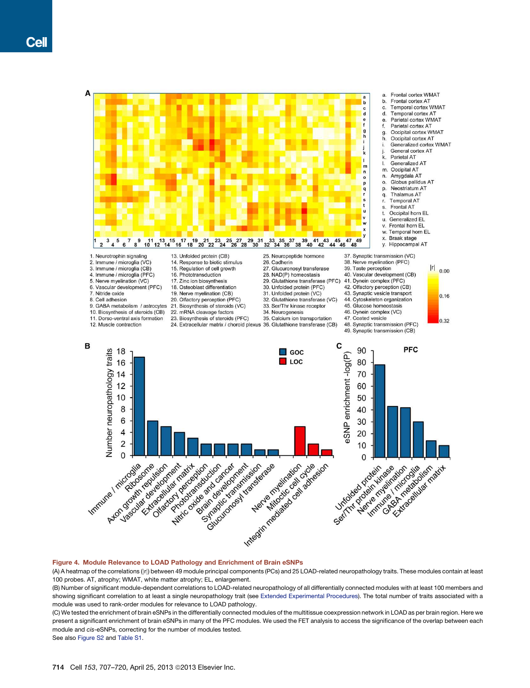

#### Figure 4. Module Relevance to LOAD Pathology and Enrichment of Brain eSNPs

(A) A heatmap of the correlations (jrj) between 49 module principal components (PCs) and 25 LOAD-related neuropathology traits. These modules contain at least 100 probes. AT, atrophy; WMAT, white matter atrophy; EL, enlargement.

(B) Number of significant module-dependent correlations to LOAD-related neuropathology of all differentially connected modules with at least 100 members and showing significant correlation to at least a single neuropathology trait (see Extended Experimental Procedures). The total number of traits associated with a module was used to rank-order modules for relevance to LOAD pathology.

(C) We tested the enrichment of brain eSNPs in the differentially connected modules of the multitissue coexpression network in LOAD as per brain region. Here we present a significant enrichment of brain eSNPs in many of the PFC modules. We used the FET analysis to access the significance of the overlap between each module and *cis*-eSNPs, correcting for the number of modules tested. See also Figure S2 and Table S1.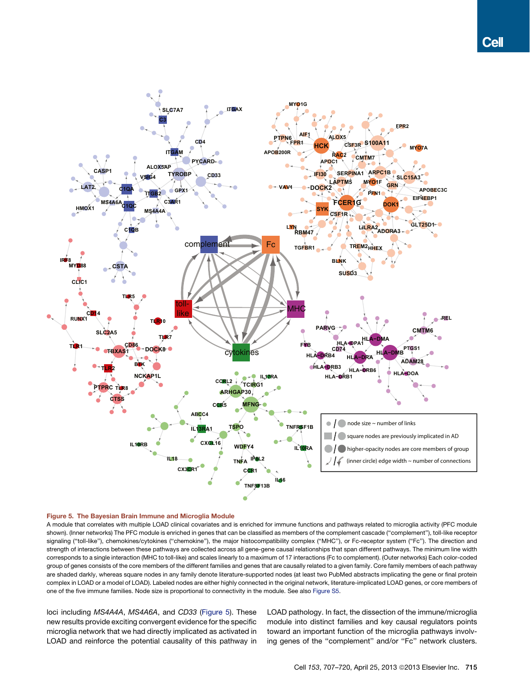

#### Figure 5. The Bayesian Brain Immune and Microglia Module

A module that correlates with multiple LOAD clinical covariates and is enriched for immune functions and pathways related to microglia activity (PFC module shown). (Inner networks) The PFC module is enriched in genes that can be classified as members of the complement cascade (''complement''), toll-like receptor signaling ("toll-like"), chemokines/cytokines ("chemokine"), the major histocompatibility complex ("MHC"), or Fc-receptor system ("Fc"). The direction and strength of interactions between these pathways are collected across all gene-gene causal relationships that span different pathways. The minimum line width corresponds to a single interaction (MHC to toll-like) and scales linearly to a maximum of 17 interactions (Fc to complement). (Outer networks) Each color-coded group of genes consists of the core members of the different families and genes that are causally related to a given family. Core family members of each pathway are shaded darkly, whereas square nodes in any family denote literature-supported nodes (at least two PubMed abstracts implicating the gene or final protein complex in LOAD or a model of LOAD). Labeled nodes are either highly connected in the original network, literature-implicated LOAD genes, or core members of one of the five immune families. Node size is proportional to connectivity in the module. See also Figure S5.

loci including *MS4A4A*, *MS4A6A*, and *CD33* (Figure 5). These new results provide exciting convergent evidence for the specific microglia network that we had directly implicated as activated in LOAD and reinforce the potential causality of this pathway in LOAD pathology. In fact, the dissection of the immune/microglia module into distinct families and key causal regulators points toward an important function of the microglia pathways involving genes of the ''complement'' and/or ''Fc'' network clusters.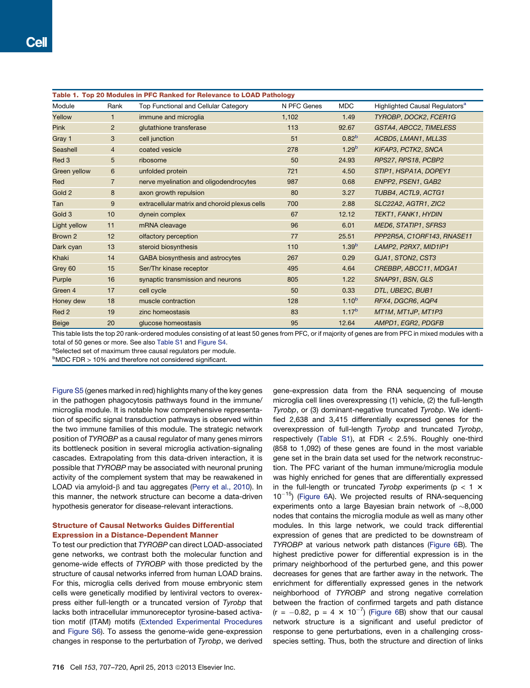| Table 1. Top 20 Modules in PFC Ranked for Relevance to LOAD Pathology |                |                                               |             |                   |                                            |
|-----------------------------------------------------------------------|----------------|-----------------------------------------------|-------------|-------------------|--------------------------------------------|
| Module                                                                | Rank           | Top Functional and Cellular Category          | N PFC Genes | <b>MDC</b>        | Highlighted Causal Regulators <sup>a</sup> |
| Yellow                                                                | $\mathbf{1}$   | immune and microglia                          | 1,102       | 1.49              | TYROBP, DOCK2, FCER1G                      |
| <b>Pink</b>                                                           | $\overline{2}$ | glutathione transferase                       | 113         | 92.67             | GSTA4, ABCC2, TIMELESS                     |
| Gray 1                                                                | 3              | cell junction                                 | 51          | 0.82 <sup>b</sup> | ACBD5, LMAN1, MLL3S                        |
| Seashell                                                              | $\overline{4}$ | coated vesicle                                | 278         | 1.29 <sup>b</sup> | KIFAP3, PCTK2, SNCA                        |
| Red 3                                                                 | 5              | ribosome                                      | 50          | 24.93             | RPS27, RPS18, PCBP2                        |
| Green yellow                                                          | 6              | unfolded protein                              | 721         | 4.50              | STIP1, HSPA1A, DOPEY1                      |
| Red                                                                   | $\overline{7}$ | nerve myelination and oligodendrocytes        | 987         | 0.68              | ENPP2, PSEN1, GAB2                         |
| Gold 2                                                                | 8              | axon growth repulsion                         | 80          | 3.27              | TUBB4, ACTL9, ACTG1                        |
| Tan                                                                   | 9              | extracellular matrix and choroid plexus cells | 700         | 2.88              | SLC22A2, AGTR1, ZIC2                       |
| Gold 3                                                                | 10             | dynein complex                                | 67          | 12.12             | TEKT1, FANK1, HYDIN                        |
| Light yellow                                                          | 11             | mRNA cleavage                                 | 96          | 6.01              | MED6, STATIP1, SFRS3                       |
| Brown 2                                                               | 12             | olfactory perception                          | 77          | 25.51             | PPP2R5A, C1ORF143, RNASE11                 |
| Dark cyan                                                             | 13             | steroid biosynthesis                          | 110         | 1.39 <sup>b</sup> | LAMP2, P2RX7, MID1IP1                      |
| Khaki                                                                 | 14             | <b>GABA</b> biosynthesis and astrocytes       | 267         | 0.29              | GJA1, STON2, CST3                          |
| Grey 60                                                               | 15             | Ser/Thr kinase receptor                       | 495         | 4.64              | CREBBP, ABCC11, MDGA1                      |
| Purple                                                                | 16             | synaptic transmission and neurons             | 805         | 1.22              | SNAP91, BSN, GLS                           |
| Green 4                                                               | 17             | cell cycle                                    | 50          | 0.33              | DTL, UBE2C, BUB1                           |
| Honey dew                                                             | 18             | muscle contraction                            | 128         | $1.10^{b}$        | RFX4, DGCR6, AQP4                          |
| Red 2                                                                 | 19             | zinc homeostasis                              | 83          | 1.17 <sup>b</sup> | MT1M, MT1JP, MT1P3                         |
| <b>Beige</b>                                                          | 20             | glucose homeostasis                           | 95          | 12.64             | AMPD1, EGR2, PDGFB                         |

This table lists the top 20 rank-ordered modules consisting of at least 50 genes from PFC, or if majority of genes are from PFC in mixed modules with a total of 50 genes or more. See also Table S1 and Figure S4.

<sup>a</sup>Selected set of maximum three causal regulators per module.

<sup>b</sup>MDC FDR > 10% and therefore not considered significant.

Figure S5 (genes marked in red) highlights many of the key genes in the pathogen phagocytosis pathways found in the immune/ microglia module. It is notable how comprehensive representation of specific signal transduction pathways is observed within the two immune families of this module. The strategic network position of *TYROBP* as a causal regulator of many genes mirrors its bottleneck position in several microglia activation-signaling cascades. Extrapolating from this data-driven interaction, it is possible that *TYROBP* may be associated with neuronal pruning activity of the complement system that may be reawakened in LOAD via amyloid- $\beta$  and tau aggregates (Perry et al., 2010). In this manner, the network structure can become a data-driven hypothesis generator for disease-relevant interactions.

## Structure of Causal Networks Guides Differential Expression in a Distance-Dependent Manner

To test our prediction that *TYROBP* can direct LOAD-associated gene networks, we contrast both the molecular function and genome-wide effects of *TYROBP* with those predicted by the structure of causal networks inferred from human LOAD brains. For this, microglia cells derived from mouse embryonic stem cells were genetically modified by lentiviral vectors to overexpress either full-length or a truncated version of *Tyrobp* that lacks both intracellular immunoreceptor tyrosine-based activation motif (ITAM) motifs (Extended Experimental Procedures and Figure S6). To assess the genome-wide gene-expression changes in response to the perturbation of *Tyrobp*, we derived

gene-expression data from the RNA sequencing of mouse microglia cell lines overexpressing (1) vehicle, (2) the full-length *Tyrobp*, or (3) dominant-negative truncated *Tyrobp*. We identified 2,638 and 3,415 differentially expressed genes for the overexpression of full-length *Tyrobp* and truncated *Tyrobp*, respectively (Table S1), at FDR  $<$  2.5%. Roughly one-third (858 to 1,092) of these genes are found in the most variable gene set in the brain data set used for the network reconstruction. The PFC variant of the human immune/microglia module was highly enriched for genes that are differentially expressed in the full-length or truncated *Tyrobp* experiments ( $p < 1$   $\times$  $10^{-15}$ ) (Figure 6A). We projected results of RNA-sequencing experiments onto a large Bayesian brain network of  $\sim8,000$ nodes that contains the microglia module as well as many other modules. In this large network, we could track differential expression of genes that are predicted to be downstream of *TYROBP* at various network path distances (Figure 6B). The highest predictive power for differential expression is in the primary neighborhood of the perturbed gene, and this power decreases for genes that are farther away in the network. The enrichment for differentially expressed genes in the network neighborhood of *TYROBP* and strong negative correlation between the fraction of confirmed targets and path distance  $(r = -0.82, p = 4 \times 10^{-7})$  (Figure 6B) show that our causal network structure is a significant and useful predictor of response to gene perturbations, even in a challenging crossspecies setting. Thus, both the structure and direction of links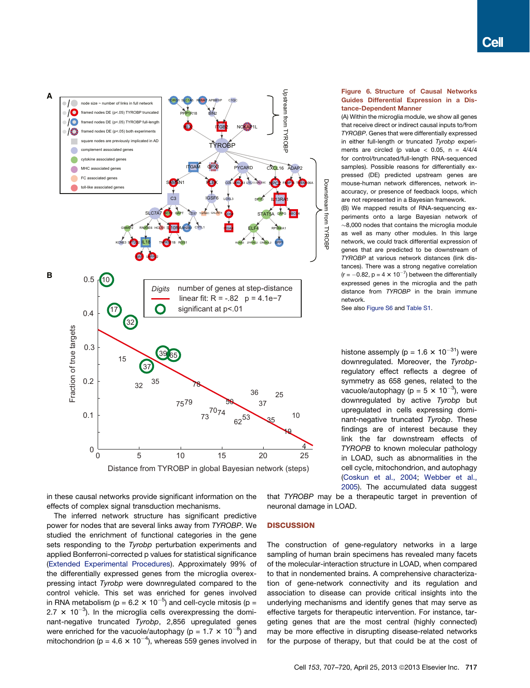

Distance from TYROBP in global Bayesian network (steps)

## in these causal networks provide significant information on the effects of complex signal transduction mechanisms.

The inferred network structure has significant predictive power for nodes that are several links away from *TYROBP*. We studied the enrichment of functional categories in the gene sets responding to the *Tyrobp* perturbation experiments and applied Bonferroni-corrected p values for statistical significance (Extended Experimental Procedures). Approximately 99% of the differentially expressed genes from the microglia overexpressing intact *Tyrobp* were downregulated compared to the control vehicle. This set was enriched for genes involved in RNA metabolism (p = 6.2  $\times$  10<sup>-5</sup>) and cell-cycle mitosis (p = 2.7  $\times$  10<sup>-3</sup>). In the microglia cells overexpressing the dominant-negative truncated *Tyrobp*, 2,856 upregulated genes were enriched for the vacuole/autophagy (p =  $1.7 \times 10^{-8}$ ) and mitochondrion (p = 4.6  $\times$  10<sup>-4</sup>), whereas 559 genes involved in

Figure 6. Structure of Causal Networks Guides Differential Expression in a Distance-Dependent Manner

(A) Within the microglia module, we show all genes that receive direct or indirect causal inputs to/from *TYROBP*. Genes that were differentially expressed in either full-length or truncated *Tyrobp* experiments are circled (p value  $<$  0.05, n = 4/4/4 for control/truncated/full-length RNA-sequenced samples). Possible reasons for differentially expressed (DE) predicted upstream genes are mouse-human network differences, network inaccuracy, or presence of feedback loops, which are not represented in a Bayesian framework.

(B) We mapped results of RNA-sequencing experiments onto a large Bayesian network of  $\sim$ 8,000 nodes that contains the microglia module as well as many other modules. In this large network, we could track differential expression of genes that are predicted to be downstream of *TYROBP* at various network distances (link distances). There was a strong negative correlation  $(r = -0.82, p = 4 \times 10^{-7})$  between the differentially expressed genes in the microglia and the path distance from *TYROBP* in the brain immune network.

See also Figure S6 and Table S1.

Downstream trom LNROBP

histone assemply ( $p = 1.6 \times 10^{-31}$ ) were downregulated. Moreover, the *Tyrobp*regulatory effect reflects a degree of symmetry as 658 genes, related to the vacuole/autophagy (p =  $5 \times 10^{-3}$ ), were downregulated by active *Tyrobp* but upregulated in cells expressing dominant-negative truncated *Tyrobp*. These findings are of interest because they link the far downstream effects of *TYROPB* to known molecular pathology in LOAD, such as abnormalities in the cell cycle, mitochondrion, and autophagy (Coskun et al., 2004; Webber et al., 2005). The accumulated data suggest

that *TYROBP* may be a therapeutic target in prevention of neuronal damage in LOAD.

## **DISCUSSION**

The construction of gene-regulatory networks in a large sampling of human brain specimens has revealed many facets of the molecular-interaction structure in LOAD, when compared to that in nondemented brains. A comprehensive characterization of gene-network connectivity and its regulation and association to disease can provide critical insights into the underlying mechanisms and identify genes that may serve as effective targets for therapeutic intervention. For instance, targeting genes that are the most central (highly connected) may be more effective in disrupting disease-related networks for the purpose of therapy, but that could be at the cost of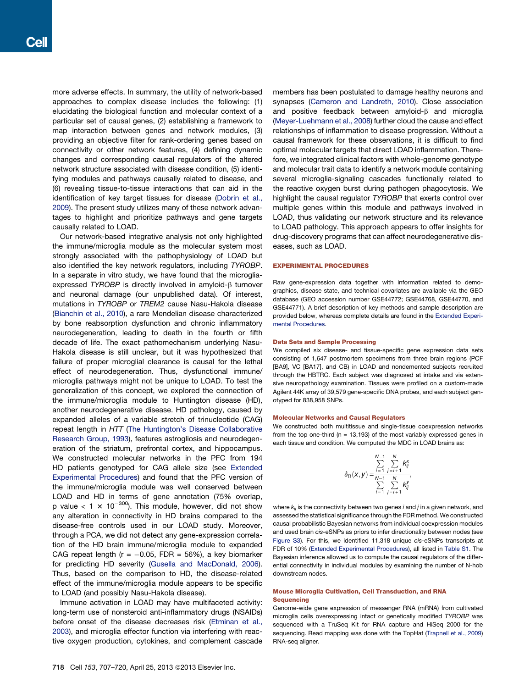more adverse effects. In summary, the utility of network-based approaches to complex disease includes the following: (1) elucidating the biological function and molecular context of a particular set of causal genes, (2) establishing a framework to map interaction between genes and network modules, (3) providing an objective filter for rank-ordering genes based on connectivity or other network features, (4) defining dynamic changes and corresponding causal regulators of the altered network structure associated with disease condition, (5) identifying modules and pathways causally related to disease, and (6) revealing tissue-to-tissue interactions that can aid in the identification of key target tissues for disease (Dobrin et al., 2009). The present study utilizes many of these network advantages to highlight and prioritize pathways and gene targets causally related to LOAD.

Our network-based integrative analysis not only highlighted the immune/microglia module as the molecular system most strongly associated with the pathophysiology of LOAD but also identified the key network regulators, including *TYROBP*. In a separate in vitro study, we have found that the microgliaexpressed  $TYROBP$  is directly involved in amyloid- $\beta$  turnover and neuronal damage (our unpublished data). Of interest, mutations in *TYROBP* or *TREM2* cause Nasu-Hakola disease (Bianchin et al., 2010), a rare Mendelian disease characterized by bone reabsorption dysfunction and chronic inflammatory neurodegeneration, leading to death in the fourth or fifth decade of life. The exact pathomechanism underlying Nasu-Hakola disease is still unclear, but it was hypothesized that failure of proper microglial clearance is causal for the lethal effect of neurodegeneration. Thus, dysfunctional immune/ microglia pathways might not be unique to LOAD. To test the generalization of this concept, we explored the connection of the immune/microglia module to Huntington disease (HD), another neurodegenerative disease. HD pathology, caused by expanded alleles of a variable stretch of trinucleotide (CAG) repeat length in *HTT* (The Huntington's Disease Collaborative Research Group, 1993), features astrogliosis and neurodegeneration of the striatum, prefrontal cortex, and hippocampus. We constructed molecular networks in the PFC from 194 HD patients genotyped for CAG allele size (see Extended Experimental Procedures) and found that the PFC version of the immune/microglia module was well conserved between LOAD and HD in terms of gene annotation (75% overlap, p value  $< 1 \times 10^{-300}$ ). This module, however, did not show any alteration in connectivity in HD brains compared to the disease-free controls used in our LOAD study. Moreover, through a PCA, we did not detect any gene-expression correlation of the HD brain immune/microglia module to expanded CAG repeat length ( $r = -0.05$ , FDR = 56%), a key biomarker for predicting HD severity (Gusella and MacDonald, 2006). Thus, based on the comparison to HD, the disease-related effect of the immune/microglia module appears to be specific to LOAD (and possibly Nasu-Hakola disease).

Immune activation in LOAD may have multifaceted activity: long-term use of nonsteroid anti-inflammatory drugs (NSAIDs) before onset of the disease decreases risk (Etminan et al., 2003), and microglia effector function via interfering with reactive oxygen production, cytokines, and complement cascade

members has been postulated to damage healthy neurons and synapses (Cameron and Landreth, 2010). Close association and positive feedback between amyloid- $\beta$  and microglia (Meyer-Luehmann et al., 2008) further cloud the cause and effect relationships of inflammation to disease progression. Without a causal framework for these observations, it is difficult to find optimal molecular targets that direct LOAD inflammation. Therefore, we integrated clinical factors with whole-genome genotype and molecular trait data to identify a network module containing several microglia-signaling cascades functionally related to the reactive oxygen burst during pathogen phagocytosis. We highlight the causal regulator *TYROBP* that exerts control over multiple genes within this module and pathways involved in LOAD, thus validating our network structure and its relevance to LOAD pathology. This approach appears to offer insights for drug-discovery programs that can affect neurodegenerative diseases, such as LOAD.

#### EXPERIMENTAL PROCEDURES

Raw gene-expression data together with information related to demographics, disease state, and technical covariates are available via the GEO database (GEO accession number GSE44772; GSE44768, GSE44770, and GSE44771). A brief description of key methods and sample description are provided below, whereas complete details are found in the Extended Experimental Procedures.

#### Data Sets and Sample Processing

We compiled six disease- and tissue-specific gene expression data sets consisting of 1,647 postmortem specimens from three brain regions (PCF [BA9], VC [BA17], and CB) in LOAD and nondemented subjects recruited through the HBTRC. Each subject was diagnosed at intake and via extensive neuropathology examination. Tissues were profiled on a custom-made Agilent 44K array of 39,579 gene-specific DNA probes, and each subject genotyped for 838,958 SNPs.

#### Molecular Networks and Causal Regulators

We constructed both multitissue and single-tissue coexpression networks from the top one-third ( $n = 13.193$ ) of the most variably expressed genes in each tissue and condition. We computed the MDC in LOAD brains as:

$$
\delta_{\Omega}(x,y) = \frac{\sum_{i=1}^{N-1} \sum_{j=i+1}^{N} k_{ij}^{x}}{\sum_{i=1}^{N} \sum_{j=i+1}^{N} k_{ij}^{x}}
$$

where  $k_{ii}$  is the connectivity between two genes *i* and *i* in a given network, and assessed the statistical significance through the FDR method. We constructed causal probabilistic Bayesian networks from individual coexpression modules and used brain *cis*-eSNPs as priors to infer directionality between nodes (see Figure S3). For this, we identified 11,318 unique *cis*-eSNPs transcripts at FDR of 10% (Extended Experimental Procedures), all listed in Table S1. The Bayesian inference allowed us to compute the causal regulators of the differential connectivity in individual modules by examining the number of N-hob downstream nodes.

#### Mouse Microglia Cultivation, Cell Transduction, and RNA **Sequencing**

Genome-wide gene expression of messenger RNA (mRNA) from cultivated microglia cells overexpressing intact or genetically modified *TYROBP* was sequenced with a TruSeq Kit for RNA capture and HiSeq 2000 for the sequencing. Read mapping was done with the TopHat (Trapnell et al., 2009) RNA-seq aligner.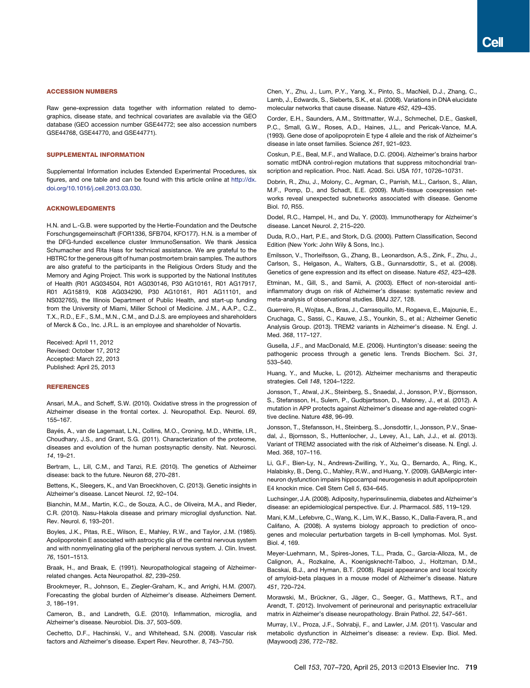#### ACCESSION NUMBERS

Raw gene-expression data together with information related to demographics, disease state, and technical covariates are available via the GEO database (GEO accession number GSE44772; see also accession numbers GSE44768, GSE44770, and GSE44771).

#### SUPPLEMENTAL INFORMATION

Supplemental Information includes Extended Experimental Procedures, six figures, and one table and can be found with this article online at http://dx. doi.org/10.1016/j.cell.2013.03.030.

#### ACKNOWLEDGMENTS

H.N. and L.-G.B. were supported by the Hertie-Foundation and the Deutsche Forschungsgemeinschaft (FOR1336, SFB704, KFO177). H.N. is a member of the DFG-funded excellence cluster ImmunoSensation. We thank Jessica Schumacher and Rita Hass for technical assistance. We are grateful to the HBTRC for the generous gift of human postmortem brain samples. The authors are also grateful to the participants in the Religious Orders Study and the Memory and Aging Project. This work is supported by the National Institutes of Health (R01 AG034504, R01 AG030146, P30 AG10161, R01 AG17917, R01 AG15819, K08 AG034290, P30 AG10161, R01 AG11101, and NS032765), the Illinois Department of Public Health, and start-up funding from the University of Miami, Miller School of Medicine. J.M., A.A.P., C.Z., T.X., R.D., E.F., S.M., M.N., C.M., and D.J.S. are employees and shareholders of Merck & Co., Inc. J.R.L. is an employee and shareholder of Novartis.

Received: April 11, 2012 Revised: October 17, 2012 Accepted: March 22, 2013 Published: April 25, 2013

#### REFERENCES

Ansari, M.A., and Scheff, S.W. (2010). Oxidative stress in the progression of Alzheimer disease in the frontal cortex. J. Neuropathol. Exp. Neurol. *69*, 155–167.

Bayés, A., van de Lagemaat, L.N., Collins, M.O., Croning, M.D., Whittle, I.R., Choudhary, J.S., and Grant, S.G. (2011). Characterization of the proteome, diseases and evolution of the human postsynaptic density. Nat. Neurosci. *14*, 19–21.

Bertram, L., Lill, C.M., and Tanzi, R.E. (2010). The genetics of Alzheimer disease: back to the future. Neuron *68*, 270–281.

Bettens, K., Sleegers, K., and Van Broeckhoven, C. (2013). Genetic insights in Alzheimer's disease. Lancet Neurol. *12*, 92–104.

Bianchin, M.M., Martin, K.C., de Souza, A.C., de Oliveira, M.A., and Rieder, C.R. (2010). Nasu-Hakola disease and primary microglial dysfunction. Nat. Rev. Neurol. *6*, 193–201.

Boyles, J.K., Pitas, R.E., Wilson, E., Mahley, R.W., and Taylor, J.M. (1985). Apolipoprotein E associated with astrocytic glia of the central nervous system and with nonmyelinating glia of the peripheral nervous system. J. Clin. Invest. *76*, 1501–1513.

Braak, H., and Braak, E. (1991). Neuropathological stageing of Alzheimerrelated changes. Acta Neuropathol. *82*, 239–259.

Brookmeyer, R., Johnson, E., Ziegler-Graham, K., and Arrighi, H.M. (2007). Forecasting the global burden of Alzheimer's disease. Alzheimers Dement. *3*, 186–191.

Cameron, B., and Landreth, G.E. (2010). Inflammation, microglia, and Alzheimer's disease. Neurobiol. Dis. *37*, 503–509.

Cechetto, D.F., Hachinski, V., and Whitehead, S.N. (2008). Vascular risk factors and Alzheimer's disease. Expert Rev. Neurother. *8*, 743–750.

**Cell** 

Chen, Y., Zhu, J., Lum, P.Y., Yang, X., Pinto, S., MacNeil, D.J., Zhang, C., Lamb, J., Edwards, S., Sieberts, S.K., et al. (2008). Variations in DNA elucidate molecular networks that cause disease. Nature *452*, 429–435.

Corder, E.H., Saunders, A.M., Strittmatter, W.J., Schmechel, D.E., Gaskell, P.C., Small, G.W., Roses, A.D., Haines, J.L., and Pericak-Vance, M.A. (1993). Gene dose of apolipoprotein E type 4 allele and the risk of Alzheimer's disease in late onset families. Science *261*, 921–923.

Coskun, P.E., Beal, M.F., and Wallace, D.C. (2004). Alzheimer's brains harbor somatic mtDNA control-region mutations that suppress mitochondrial transcription and replication. Proc. Natl. Acad. Sci. USA *101*, 10726–10731.

Dobrin, R., Zhu, J., Molony, C., Argman, C., Parrish, M.L., Carlson, S., Allan, M.F., Pomp, D., and Schadt, E.E. (2009). Multi-tissue coexpression networks reveal unexpected subnetworks associated with disease. Genome Biol. *10*, R55.

Dodel, R.C., Hampel, H., and Du, Y. (2003). Immunotherapy for Alzheimer's disease. Lancet Neurol. *2*, 215–220.

Duda, R.O., Hart, P.E., and Stork, D.G. (2000). Pattern Classification, Second Edition (New York: John Wily & Sons, Inc.).

Emilsson, V., Thorleifsson, G., Zhang, B., Leonardson, A.S., Zink, F., Zhu, J., Carlson, S., Helgason, A., Walters, G.B., Gunnarsdottir, S., et al. (2008). Genetics of gene expression and its effect on disease. Nature *452*, 423–428.

Etminan, M., Gill, S., and Samii, A. (2003). Effect of non-steroidal antiinflammatory drugs on risk of Alzheimer's disease: systematic review and meta-analysis of observational studies. BMJ *327*, 128.

Guerreiro, R., Wojtas, A., Bras, J., Carrasquillo, M., Rogaeva, E., Majounie, E., Cruchaga, C., Sassi, C., Kauwe, J.S., Younkin, S., et al.; Alzheimer Genetic Analysis Group. (2013). TREM2 variants in Alzheimer's disease. N. Engl. J. Med. *368*, 117–127.

Gusella, J.F., and MacDonald, M.E. (2006). Huntington's disease: seeing the pathogenic process through a genetic lens. Trends Biochem. Sci. *31*, 533–540.

Huang, Y., and Mucke, L. (2012). Alzheimer mechanisms and therapeutic strategies. Cell *148*, 1204–1222.

Jonsson, T., Atwal, J.K., Steinberg, S., Snaedal, J., Jonsson, P.V., Bjornsson, S., Stefansson, H., Sulem, P., Gudbjartsson, D., Maloney, J., et al. (2012). A mutation in APP protects against Alzheimer's disease and age-related cognitive decline. Nature *488*, 96–99.

Jonsson, T., Stefansson, H., Steinberg, S., Jonsdottir, I., Jonsson, P.V., Snaedal, J., Bjornsson, S., Huttenlocher, J., Levey, A.I., Lah, J.J., et al. (2013). Variant of TREM2 associated with the risk of Alzheimer's disease. N. Engl. J. Med. *368*, 107–116.

Li, G.F., Bien-Ly, N., Andrews-Zwilling, Y., Xu, Q., Bernardo, A., Ring, K., Halabisky, B., Deng, C., Mahley, R.W., and Huang, Y. (2009). GABAergic interneuron dysfunction impairs hippocampal neurogenesis in adult apolipoprotein E4 knockin mice. Cell Stem Cell *5*, 634–645.

Luchsinger, J.A. (2008). Adiposity, hyperinsulinemia, diabetes and Alzheimer's disease: an epidemiological perspective. Eur. J. Pharmacol. *585*, 119–129.

Mani, K.M., Lefebvre, C., Wang, K., Lim, W.K., Basso, K., Dalla-Favera, R., and Califano, A. (2008). A systems biology approach to prediction of oncogenes and molecular perturbation targets in B-cell lymphomas. Mol. Syst. Biol. *4*, 169.

Meyer-Luehmann, M., Spires-Jones, T.L., Prada, C., Garcia-Alloza, M., de Calignon, A., Rozkalne, A., Koenigsknecht-Talboo, J., Holtzman, D.M., Bacskai, B.J., and Hyman, B.T. (2008). Rapid appearance and local toxicity of amyloid-beta plaques in a mouse model of Alzheimer's disease. Nature *451*, 720–724.

Morawski, M., Brückner, G., Jäger, C., Seeger, G., Matthews, R.T., and Arendt, T. (2012). Involvement of perineuronal and perisynaptic extracellular matrix in Alzheimer's disease neuropathology. Brain Pathol. *22*, 547–561.

Murray, I.V., Proza, J.F., Sohrabji, F., and Lawler, J.M. (2011). Vascular and metabolic dysfunction in Alzheimer's disease: a review. Exp. Biol. Med. (Maywood) *236*, 772–782.